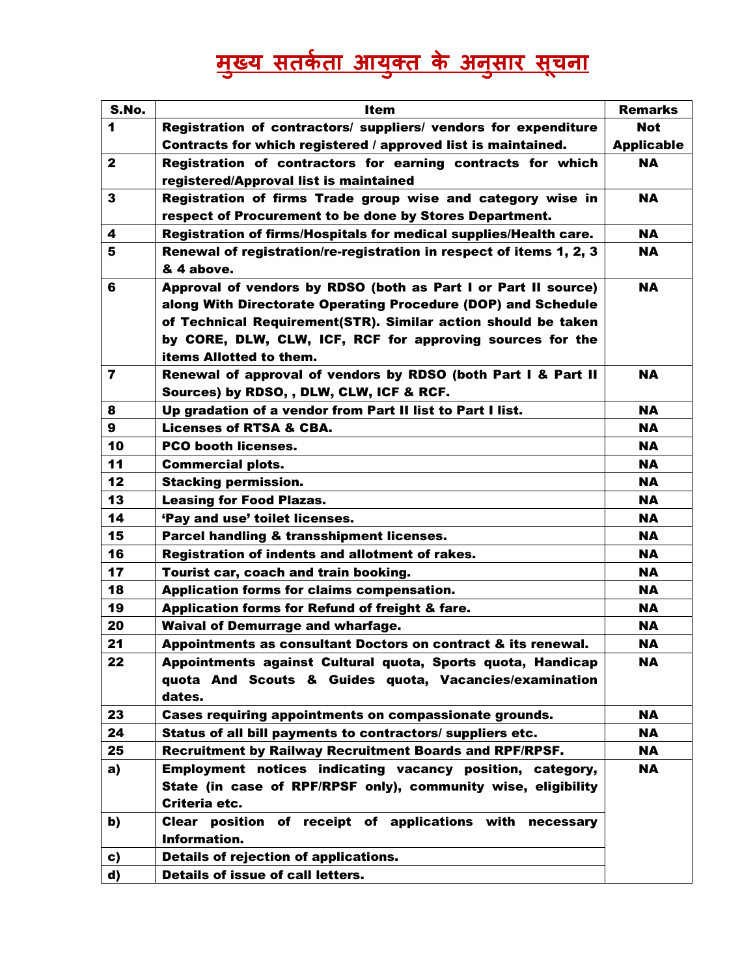## <u>मुख्य सतर्कता आयुक्त के अनुसार सूचना</u>

| S.No.                   | <b>Item</b>                                                         | <b>Remarks</b>    |
|-------------------------|---------------------------------------------------------------------|-------------------|
| 1                       | Registration of contractors/ suppliers/ vendors for expenditure     | <b>Not</b>        |
|                         | Contracts for which registered / approved list is maintained.       | <b>Applicable</b> |
| $\mathbf{2}$            | Registration of contractors for earning contracts for which         | <b>NA</b>         |
|                         | registered/Approval list is maintained                              |                   |
| 3                       | Registration of firms Trade group wise and category wise in         | <b>NA</b>         |
|                         | respect of Procurement to be done by Stores Department.             |                   |
| 4                       | Registration of firms/Hospitals for medical supplies/Health care.   | <b>NA</b>         |
| 5                       | Renewal of registration/re-registration in respect of items 1, 2, 3 | <b>NA</b>         |
|                         | & 4 above.                                                          |                   |
| 6                       | Approval of vendors by RDSO (both as Part I or Part II source)      | <b>NA</b>         |
|                         | along With Directorate Operating Procedure (DOP) and Schedule       |                   |
|                         | of Technical Requirement(STR). Similar action should be taken       |                   |
|                         | by CORE, DLW, CLW, ICF, RCF for approving sources for the           |                   |
|                         | items Allotted to them.                                             |                   |
| $\overline{\mathbf{r}}$ | Renewal of approval of vendors by RDSO (both Part I & Part II       | <b>NA</b>         |
|                         | Sources) by RDSO, , DLW, CLW, ICF & RCF.                            |                   |
| 8                       | Up gradation of a vendor from Part II list to Part I list.          | <b>NA</b>         |
| 9                       | <b>Licenses of RTSA &amp; CBA.</b>                                  | <b>NA</b>         |
| 10                      | <b>PCO booth licenses.</b>                                          | <b>NA</b>         |
| 11                      | <b>Commercial plots.</b>                                            | <b>NA</b>         |
| 12                      | <b>Stacking permission.</b>                                         | <b>NA</b>         |
| 13                      | <b>Leasing for Food Plazas.</b>                                     | <b>NA</b>         |
| 14                      | 'Pay and use' toilet licenses.                                      | <b>NA</b>         |
| 15                      | Parcel handling & transshipment licenses.                           | <b>NA</b>         |
| 16                      | Registration of indents and allotment of rakes.                     | <b>NA</b>         |
| 17                      | Tourist car, coach and train booking.                               | <b>NA</b>         |
| 18                      | Application forms for claims compensation.                          | <b>NA</b>         |
| 19                      | Application forms for Refund of freight & fare.                     | <b>NA</b>         |
| 20                      | <b>Waival of Demurrage and wharfage.</b>                            | <b>NA</b>         |
| 21                      | Appointments as consultant Doctors on contract & its renewal.       | <b>NA</b>         |
| 22                      | Appointments against Cultural quota, Sports quota, Handicap         | <b>NA</b>         |
|                         | quota And Scouts & Guides quota, Vacancies/examination              |                   |
|                         | dates.                                                              |                   |
| 23                      | Cases requiring appointments on compassionate grounds.              | <b>NA</b>         |
| 24                      | Status of all bill payments to contractors/ suppliers etc.          | <b>NA</b>         |
| 25                      | <b>Recruitment by Railway Recruitment Boards and RPF/RPSF.</b>      | <b>NA</b>         |
| a)                      | Employment notices indicating vacancy position, category,           | <b>NA</b>         |
|                         | State (in case of RPF/RPSF only), community wise, eligibility       |                   |
|                         | Criteria etc.                                                       |                   |
| b)                      | Clear position of receipt of applications with necessary            |                   |
|                         | Information.                                                        |                   |
| c)                      | <b>Details of rejection of applications.</b>                        |                   |
| d)                      | Details of issue of call letters.                                   |                   |